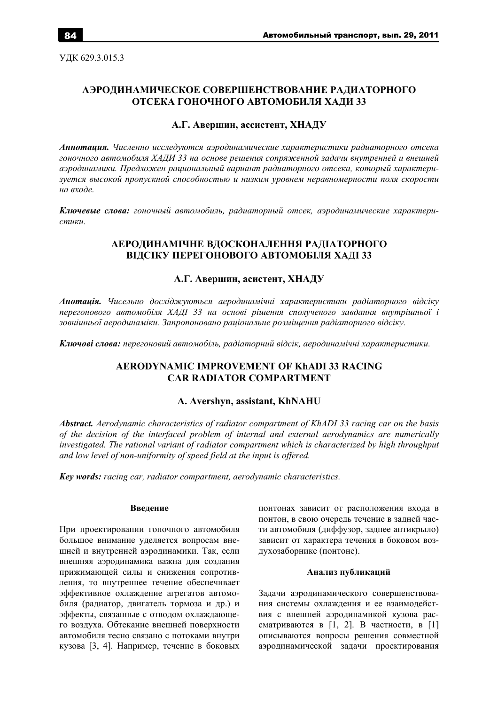УДК 629.3.015.3

# АЭРОДИНАМИЧЕСКОЕ СОВЕРШЕНСТВОВАНИЕ РАДИАТОРНОГО ОТСЕКА ГОНОЧНОГО АВТОМОБИЛЯ ХАДИ 33

# А.Г. Авершин, ассистент, ХНАДУ

Аннотация. Численно исследуются аэродинамические характеристики радиаторного отсека гоночного автомобиля ХАДИ 33 на основе решения сопряженной задачи внутренней и внешней аэродинамики. Предложен рациональный вариант радиаторного отсека, который характеризуется высокой пропускной способностью и низким уровнем неравномерности поля скорости на входе.

Ключевые слова: гоночный автомобиль, радиаторный отсек, аэродинамические характери $cm$ 

# АЕРОДИНАМІЧНЕ ВДОСКОНАЛЕННЯ РАДІАТОРНОГО ВІДСІКУ ПЕРЕГОНОВОГО АВТОМОБІЛЯ ХАДІ 33

# А.Г. Авершин, асистент, ХНАДУ

Анотація. Чисельно досліджуються аеродинамічні характеристики радіаторного відсіку перегонового автомобіля ХАДІ 33 на основі рішення сполученого завдання внутрішньої і зовнішньої аеродинаміки. Запропоновано раціональне розміщення радіаторного відсіку.

Ключові слова: перегоновий автомобіль, радіаторний відсік, аеродинамічні характеристики.

# **AERODYNAMIC IMPROVEMENT OF KhADI 33 RACING CAR RADIATOR COMPARTMENT**

### A. Avershyn, assistant, KhNAHU

Abstract. Aerodynamic characteristics of radiator compartment of KhADI 33 racing car on the basis of the decision of the interfaced problem of internal and external aerodynamics are numerically investigated. The rational variant of radiator compartment which is characterized by high throughput and low level of non-uniformity of speed field at the input is offered.

**Key words:** racing car, radiator compartment, aerodynamic characteristics.

### Ввеление

При проектировании гоночного автомобиля большое внимание уделяется вопросам внешней и внутренней аэродинамики. Так, если внешняя аэродинамика важна для создания прижимающей силы и снижения сопротивления, то внутреннее течение обеспечивает эффективное охлаждение агрегатов автомобиля (радиатор, двигатель тормоза и др.) и эффекты, связанные с отводом охлаждающего воздуха. Обтекание внешней поверхности автомобиля тесно связано с потоками внутри кузова [3, 4]. Например, течение в боковых

понтонах зависит от расположения входа в понтон, в свою очерель течение в залней части автомобиля (диффузор, заднее антикрыло) зависит от характера течения в боковом воздухозаборнике (понтоне).

### Анализ публикаций

Задачи аэродинамического совершенствования системы охлаждения и ее взаимодействия с внешней аэродинамикой кузова рассматриваются в [1, 2]. В частности, в [1] описываются вопросы решения совместной аэродинамической задачи проектирования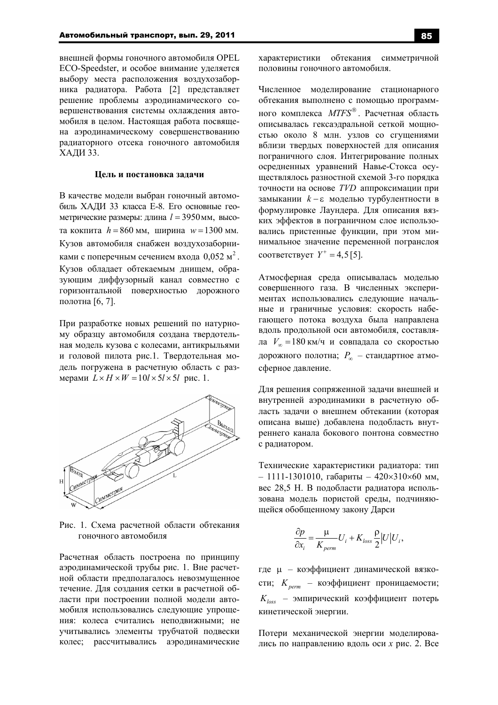внешней формы гоночного автомобиля OPEL ECO-Speedster, и особое внимание уделяется выбору места расположения воздухозаборника радиатора. Работа [2] представляет решение проблемы аэродинамического совершенствования системы охлаждения автомобиля в целом. Настоящая работа посвящена аэродинамическому совершенствованию радиаторного отсека гоночного автомобиля ХАДИ 33.

### Пель и постановка залачи

В качестве модели выбран гоночный автомобиль ХАДИ 33 класса Е-8. Его основные геометрические размеры: длина  $l = 3950$ мм, высота кокпита  $h = 860$  мм, ширина  $w = 1300$  мм. Кузов автомобиля снабжен воздухозаборниками с поперечным сечением входа  $0.052$  м<sup>2</sup>. Кузов обладает обтекаемым днищем, образующим диффузорный канал совместно с горизонтальной поверхностью дорожного полотна [6, 7].

При разработке новых решений по натурному образцу автомобиля создана твердотельная модель кузова с колесами, антикрыльями и головой пилота рис.1. Твердотельная модель погружена в расчетную область с размерами  $L \times H \times W = 10l \times 5l \times 5l$  рис. 1.



Рис. 1. Схема расчетной области обтекания гоночного автомобиля

Расчетная область построена по принципу аэродинамической трубы рис. 1. Вне расчетной области предполагалось невозмущенное течение. Для создания сетки в расчетной области при построении полной модели автомобиля использовались следующие упрощения: колеса считались неподвижными; не учитывались элементы трубчатой подвески колес; рассчитывались аэродинамические 85

характеристики обтекания симметричной половины гоночного автомобиля.

Численное моделирование стационарного обтекания выполнено с помощью программного комплекса  $MTFS^{\circledast}$ . Расчетная область описывалась гексаэдральной сеткой мощностью около 8 млн. узлов со сгущениями вблизи твердых поверхностей для описания пограничного слоя. Интегрирование полных осредненных уравнений Навье-Стокса осуществлялось разностной схемой 3-го порядка точности на основе *TVD* аппроксимации при замыкании  $k - \varepsilon$  моделью турбулентности в формулировке Лаундера. Для описания вязких эффектов в пограничном слое использовались пристенные функции, при этом минимальное значение переменной погранслоя соответствует  $Y^+ = 4, 5[5]$ .

Атмосферная среда описывалась моделью совершенного газа. В численных экспериментах использовались следующие начальные и граничные условия: скорость набегающего потока воздуха была направлена вдоль продольной оси автомобиля, составляла  $V_{\infty} = 180 \text{ km/s}$  и совпадала со скоростью дорожного полотна;  $P_{\infty}$  - стандартное атмосферное давление.

Для решения сопряженной задачи внешней и внутренней аэродинамики в расчетную область задачи о внешнем обтекании (которая описана выше) добавлена подобласть внутреннего канала бокового понтона совместно с радиатором.

Технические характеристики радиатора: тип  $-1111-1301010$ . габариты  $-420\times310\times60$  мм. вес 28,5 Н. В подобласти радиатора использована модель пористой среды, подчиняюшейся обобшенному закону Ларси

$$
\frac{\partial p}{\partial x_i} = \frac{\mu}{K_{perm}} U_i + K_{loss} \frac{\rho}{2} |U| U_i,
$$

где и - коэффициент динамической вязкости; K<sub>nerm</sub> - коэффициент проницаемости;  $K_{loss}$  – эмпирический коэффициент потерь кинетической энергии.

Потери механической энергии моделировались по направлению вдоль оси х рис. 2. Все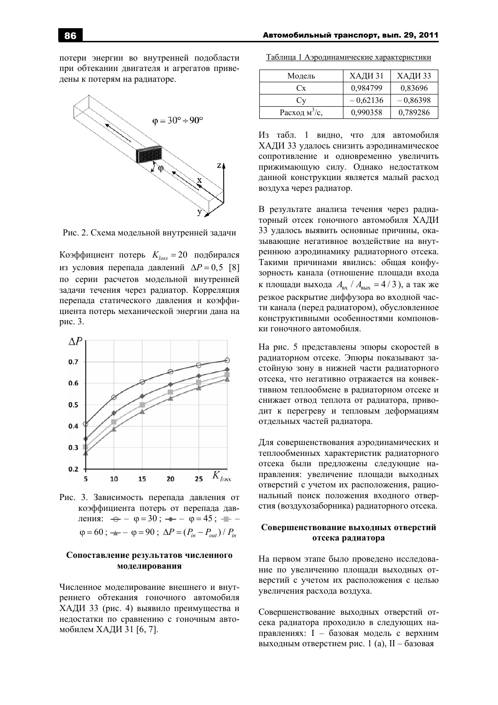потери энергии во внутренней подобласти при обтекании двигателя и агрегатов приведены к потерям на радиаторе.



Рис. 2. Схема модельной внутренней задачи

Коэффициент потерь  $K_{loss} = 20$  подбирался из условия перепада давлений  $\Delta P = 0.5$  [8] по серии расчетов модельной внутренней задачи течения через радиатор. Корреляция перепала статического лавления и коэффициента потерь механической энергии дана на рис. 3.



Рис. 3. Зависимость перепада давления от коэффициента потерь от перепада давления:  $\leftrightarrow -\varphi = 30$ ;  $\rightarrow -\varphi = 45$ ;  $\equiv -\varphi$  $\varphi = 60$ ;  $\rightarrow -\varphi = 90$ ;  $\Delta P = (P_{in} - P_{out})/P_{in}$ 

### Сопоставление результатов численного молелирования

Численное моделирование внешнего и внутреннего обтекания гоночного автомобиля ХАДИ 33 (рис. 4) выявило преимущества и недостатки по сравнению с гоночным автомобилем ХАЛИ 31 [6, 7].

| Таблица 1 Аэродинамические характеристики |  |
|-------------------------------------------|--|
|                                           |  |

| Модель                    | ХАДИ 31    | ХАДИ 33    |
|---------------------------|------------|------------|
| $C_{X}$                   | 0,984799   | 0,83696    |
| Ċv                        | $-0.62136$ | $-0,86398$ |
| Расход м <sup>3</sup> /с, | 0,990358   | 0,789286   |

Из табл. 1 видно, что для автомобиля ХАДИ 33 удалось снизить аэродинамическое сопротивление и одновременно увеличить прижимающую силу. Однако недостатком данной конструкции является малый расход воздуха через радиатор.

В результате анализа течения через радиаторный отсек гоночного автомобиля ХАДИ 33 удалось выявить основные причины, оказывающие негативное воздействие на внутреннюю аэродинамику радиаторного отсека. Такими причинами явились: обшая конфузорность канала (отношение площади входа к площади выхода  $A_{\text{\tiny BX}}/A_{\text{\tiny BMX}} = 4/3$ ), а так же резкое раскрытие диффузора во входной части канала (перед радиатором), обусловленное конструктивными особенностями компоновки гоночного автомобиля.

На рис. 5 представлены эпюры скоростей в радиаторном отсеке. Эпюры показывают застойную зону в нижней части радиаторного отсека, что негативно отражается на конвективном теплообмене в радиаторном отсеке и снижает отвод теплота от радиатора, приводит к перегреву и тепловым деформациям отдельных частей радиатора.

Для совершенствования аэродинамических и теплообменных характеристик радиаторного отсека были предложены следующие направления: увеличение площади выходных отверстий с учетом их расположения, рациональный поиск положения входного отверстия (воздухозаборника) радиаторного отсека.

## Совершенствование выходных отверстий отсека радиатора

На первом этапе было проведено исследование по увеличению площади выходных отверстий с учетом их расположения с целью увеличения расхода воздуха.

Совершенствование выходных отверстий отсека радиатора проходило в следующих направлениях: I - базовая модель с верхним выходным отверстием рис. 1 (а), II - базовая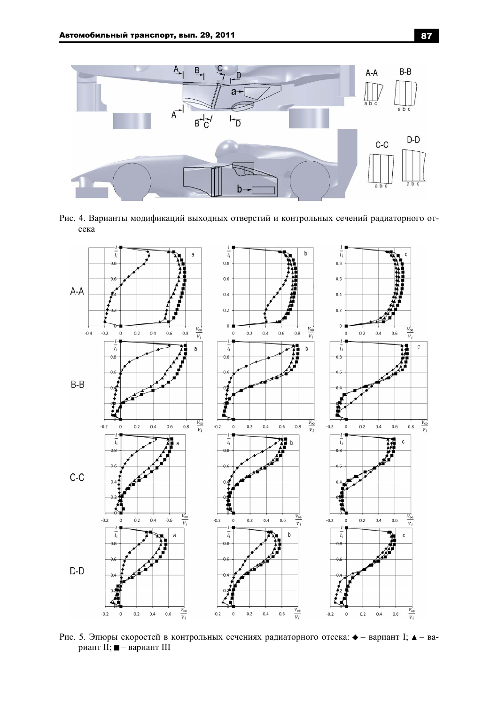

Рис. 4. Варианты модификаций выходных отверстий и контрольных сечений радиаторного отсека



Рис. 5. Эпюры скоростей в контрольных сечениях радиаторного отсека: • - вариант I; ▲ - вариант II; ■ - вариант III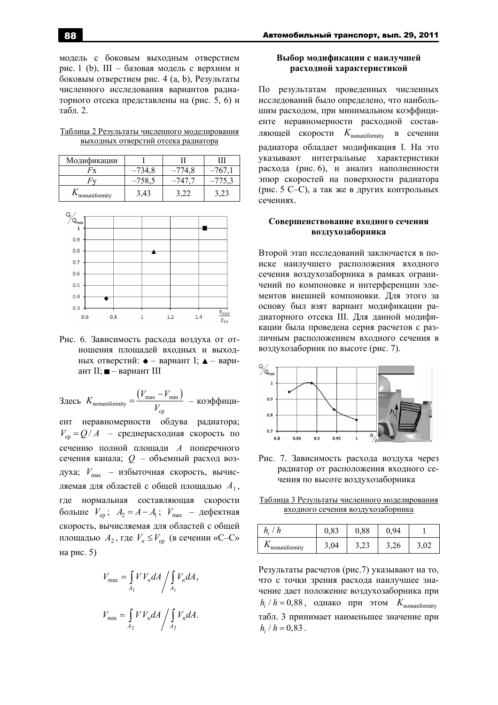модель с боковым выходным отверстием рис. 1 (b), III – базовая модель с верхним и боковым отверстием рис.  $4$  (a, b), Результаты численного исслелования вариантов радиаторного отсека представлены на (рис. 5, 6) и табл. 2.

Таблица 2 Результаты численного моделирования выходных отверстий отсека радиатора

| Модификации             |          |          |  |
|-------------------------|----------|----------|--|
| 4x                      |          | $-774.8$ |  |
|                         | $-758,5$ |          |  |
| $\Lambda$ nonuniformity | 3,43     |          |  |



Рис. 6. Зависимость расхода воздуха от отношения площадей входных и выходных отверстий:  $\bullet$  – вариант I;  $\blacktriangle$  – вариант II;  $\blacksquare$  – вариант III

 $3 \text{mech} \ K_{\text{nonuniformity}} = \frac{(V_{\text{max}} - V_{\text{min}})}{V}$ cp  $V_{\text{max}} - V_{\text{r}}$ *K V* −  $=\frac{(v_{max} - v_{min})}{V}$  – коэффициент неравномерности обдува радиатора;  $V_{cp} = Q/A$  – среднерасходная скорость по сечению полной площади А поперечного сечения канала;  $Q$  – объемный расход воздуха;  $V_{\text{max}}$  – избыточная скорость, вычисляемая для областей с общей площадью  $A_1$ , где нормальная составляющая скорости больше  $V_{cp}$ ;  $A_2 = A - A_1$ ;  $V_{max}$  − дефектная скорость, вычисляемая для областей с общей площадью  $A_2$ , где  $V_n \leq V_{cp}$  (в сечении «С–С» на рис.  $5)$ 

$$
V_{\text{max}} = \int_{A_1} V V_n dA / \int_{A_1} V_n dA,
$$
  

$$
V_{\text{min}} = \int_{A_2} V V_n dA / \int_{A_2} V_n dA.
$$

# **Выбор модификации с наилучшей расходной характеристикой**

По результатам провеленных численных исследований было определено, что наибольшим расходом, при минимальном коэффициенте неравномерности расходной составляющей скорости  $K_{\text{nonuniformity}}$  в сечении радиатора обладает модификация I. На это указывают интегральные характеристики расхода (рис. 6), и анализ наполненности эпюр скоростей на поверхности радиатора (рис. 5 C–C), а так же в других контрольных сечениях.

# Совершенствование входного сечения **воздухозаборника**

Второй этап исследований заключается в поиске наилучшего расположения входного сечения воздухозаборника в рамках ограничений по компоновке и интерференции элементов внешней компоновки. Для этого за основу был взят вариант модификации радиаторного отсека III. Для данной модификации была проведена серия расчетов с различным расположением входного сечения в воздухозаборник по высоте (рис. 7).



Рис. 7. Зависимость расхода воздуха через радиатор от расположения входного сечения по высоте воздухозаборника

Таблица 3 Результаты численного моделирования входного сечения воздухозаборника

| $h_i$ /       | 0,83 | 0,88 |     |  |
|---------------|------|------|-----|--|
| nonuniformity | 3,04 | 3.23 | .26 |  |

Результаты расчетов (рис.7) указывают на то, что с точки зрения расхода наилучшее значение дает положение воздухозаборника при  $h_i$  /  $h = 0,88$ , однако при этом  $K$ <sub>nonuniformity</sub> табл. 3 принимает наименьшее значение при  $h_i / h = 0.83$ .